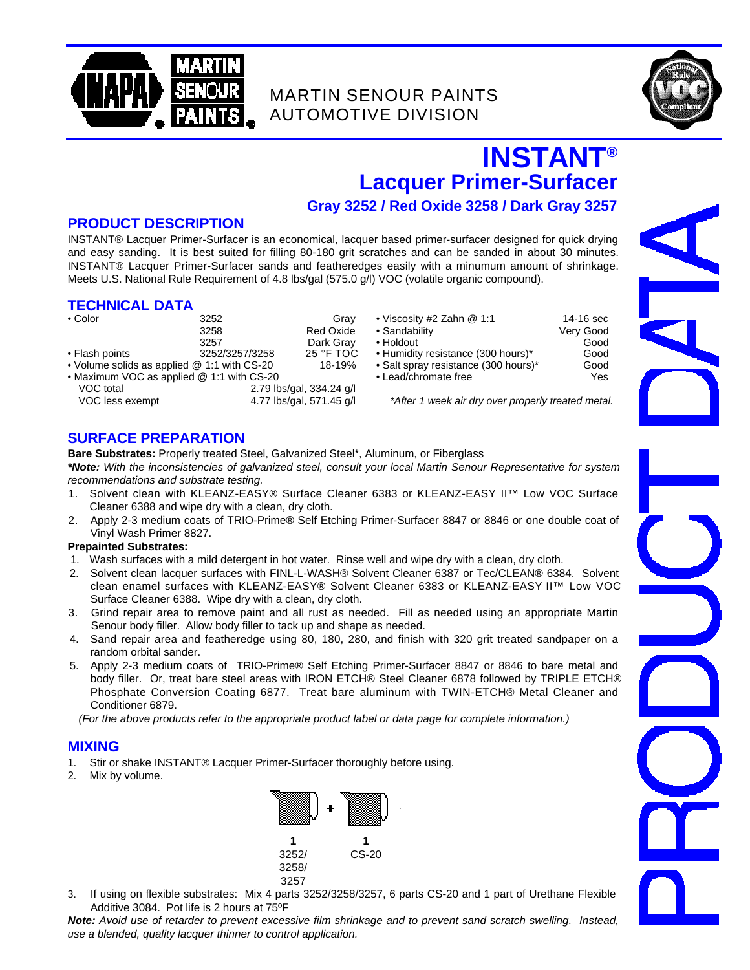

## MARTIN SENOUR PAINTS AUTOMOTIVE DIVISION



# **INSTANT ® Lacquer Primer-Surfacer**

## **Gray 3252 / Red Oxide 3258 / Dark Gray 3257**

### **PRODUCT DESCRIPTION**

INSTANT® Lacquer Primer-Surfacer is an economical, lacquer based primer-surfacer designed for quick drying and easy sanding. It is best suited for filling 80-180 grit scratches and can be sanded in about 30 minutes. INSTANT® Lacquer Primer-Surfacer sands and featheredges easily with a minumum amount of shrinkage. Meets U.S. National Rule Requirement of 4.8 lbs/gal (575.0 g/l) VOC (volatile organic compound).

#### **TECHNICAL DATA**

| $\bullet$ Color                               | 3252           | Grav                     | • Viscosity #2 Zahn @ 1:1                        | 14-16 sec |  |
|-----------------------------------------------|----------------|--------------------------|--------------------------------------------------|-----------|--|
|                                               | 3258           | Red Oxide                | • Sandability                                    | Very Good |  |
|                                               | 3257           | Dark Gray                | • Holdout                                        | Good      |  |
| • Flash points                                | 3252/3257/3258 | 25 °F TOC                | • Humidity resistance (300 hours)*               | Good      |  |
| • Volume solids as applied $@$ 1:1 with CS-20 |                | 18-19%                   | • Salt spray resistance (300 hours)*             | Good      |  |
| • Maximum VOC as applied @ 1:1 with CS-20     |                |                          | • Lead/chromate free                             | Yes       |  |
| VOC total                                     |                | 2.79 lbs/gal, 334.24 g/l |                                                  |           |  |
| VOC less exempt                               |                | 4.77 lbs/gal, 571.45 g/l | *After 1 week air dry over properly treated meta |           |  |

| • Viscosity #2 Zahn @ 1:1 |  |  |  |
|---------------------------|--|--|--|
|                           |  |  |  |

- 3258 Red Oxide Sandability Very Good
	-
- Humidity resistance (300 hours)\* Good
- Salt spray resistance (300 hours)\* Good<br>• Lead/chromate free Salt spray resistance (300 hours)\* Good
- Lead/chromate free

## **SURFACE PREPARATION**

**Bare Substrates:** Properly treated Steel, Galvanized Steel\*, Aluminum, or Fiberglass

*\*Note: With the inconsistencies of galvanized steel, consult your local Martin Senour Representative for system recommendations and substrate testing.*

- 1. Solvent clean with KLEANZ-EASY® Surface Cleaner 6383 or KLEANZ-EASY II™ Low VOC Surface Cleaner 6388 and wipe dry with a clean, dry cloth.
- 2. Apply 2-3 medium coats of TRIO-Prime® Self Etching Primer-Surfacer 8847 or 8846 or one double coat of Vinyl Wash Primer 8827.

#### **Prepainted Substrates:**

- 1. Wash surfaces with a mild detergent in hot water. Rinse well and wipe dry with a clean, dry cloth.
- 2. Solvent clean lacquer surfaces with FINL-L-WASH® Solvent Cleaner 6387 or Tec/CLEAN® 6384. Solvent clean enamel surfaces with KLEANZ-EASY® Solvent Cleaner 6383 or KLEANZ-EASY II™ Low VOC Surface Cleaner 6388. Wipe dry with a clean, dry cloth.
- 3. Grind repair area to remove paint and all rust as needed. Fill as needed using an appropriate Martin Senour body filler. Allow body filler to tack up and shape as needed.
- 4. Sand repair area and featheredge using 80, 180, 280, and finish with 320 grit treated sandpaper on a random orbital sander.
- 5. Apply 2-3 medium coats of TRIO-Prime® Self Etching Primer-Surfacer 8847 or 8846 to bare metal and body filler. Or, treat bare steel areas with IRON ETCH® Steel Cleaner 6878 followed by TRIPLE ETCH® Phosphate Conversion Coating 6877. Treat bare aluminum with TWIN-ETCH® Metal Cleaner and Conditioner 6879.

*(For the above products refer to the appropriate product label or data page for complete information.)*

## **MIXING**

- 1. Stir or shake INSTANT® Lacquer Primer-Surfacer thoroughly before using.
- 2. Mix by volume.



3. If using on flexible substrates: Mix 4 parts 3252/3258/3257, 6 parts CS-20 and 1 part of Urethane Flexible Additive 3084. Pot life is 2 hours at 75ºF

*Note: Avoid use of retarder to prevent excessive film shrinkage and to prevent sand scratch swelling. Instead, use a blended, quality lacquer thinner to control application.*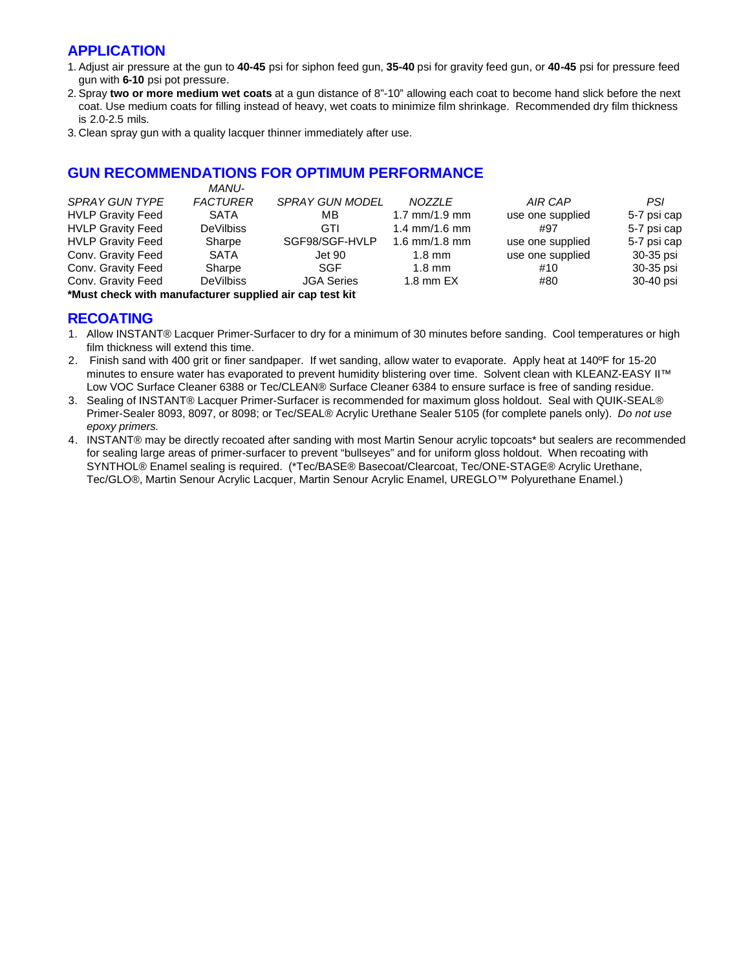## **APPLICATION**

- 1. Adjust air pressure at the gun to **40-45** psi for siphon feed gun, **35-40** psi for gravity feed gun, or **40-45** psi for pressure feed gun with **6-10** psi pot pressure.
- 2. Spray **two or more medium wet coats** at a gun distance of 8"-10" allowing each coat to become hand slick before the next coat. Use medium coats for filling instead of heavy, wet coats to minimize film shrinkage. Recommended dry film thickness is 2.0-2.5 mils.
- 3. Clean spray gun with a quality lacquer thinner immediately after use.

## **GUN RECOMMENDATIONS FOR OPTIMUM PERFORMANCE**

|                          | <i>MANU-</i>     |                        |                  |                  |             |
|--------------------------|------------------|------------------------|------------------|------------------|-------------|
| SPRAY GUN TYPE           | <b>FACTURER</b>  | <b>SPRAY GUN MODEL</b> | <b>NOZZLE</b>    | AIR CAP          | PSI         |
| <b>HVLP Gravity Feed</b> | <b>SATA</b>      | ΜВ                     | 1.7 $mm/1.9$ mm  | use one supplied | 5-7 psi cap |
| <b>HVLP Gravity Feed</b> | <b>DeVilbiss</b> | GTI                    | 1.4 $mm/1.6$ mm  | #97              | 5-7 psi cap |
| <b>HVLP Gravity Feed</b> | Sharpe           | SGF98/SGF-HVLP         | 1.6 mm/1.8 mm    | use one supplied | 5-7 psi cap |
| Conv. Gravity Feed       | <b>SATA</b>      | Jet 90                 | $1.8 \text{ mm}$ | use one supplied | 30-35 psi   |
| Conv. Gravity Feed       | Sharpe           | SGF                    | $1.8 \text{ mm}$ | #10              | 30-35 psi   |
| Conv. Gravity Feed       | <b>DeVilbiss</b> | <b>JGA Series</b>      | $1.8$ mm $EX$    | #80              | 30-40 psi   |
| .                        |                  |                        |                  |                  |             |

**\*Must check with manufacturer supplied air cap test kit**

## **RECOATING**

- 1. Allow INSTANT® Lacquer Primer-Surfacer to dry for a minimum of 30 minutes before sanding. Cool temperatures or high film thickness will extend this time.
- 2. Finish sand with 400 grit or finer sandpaper. If wet sanding, allow water to evaporate. Apply heat at 140ºF for 15-20 minutes to ensure water has evaporated to prevent humidity blistering over time. Solvent clean with KLEANZ-EASY II™ Low VOC Surface Cleaner 6388 or Tec/CLEAN® Surface Cleaner 6384 to ensure surface is free of sanding residue.
- 3. Sealing of INSTANT® Lacquer Primer-Surfacer is recommended for maximum gloss holdout. Seal with QUIK-SEAL® Primer-Sealer 8093, 8097, or 8098; or Tec/SEAL® Acrylic Urethane Sealer 5105 (for complete panels only). *Do not use epoxy primers.*
- 4. INSTANT® may be directly recoated after sanding with most Martin Senour acrylic topcoats\* but sealers are recommended for sealing large areas of primer-surfacer to prevent "bullseyes" and for uniform gloss holdout. When recoating with SYNTHOL® Enamel sealing is required. (\*Tec/BASE® Basecoat/Clearcoat, Tec/ONE-STAGE® Acrylic Urethane, Tec/GLO®, Martin Senour Acrylic Lacquer, Martin Senour Acrylic Enamel, UREGLO™ Polyurethane Enamel.)